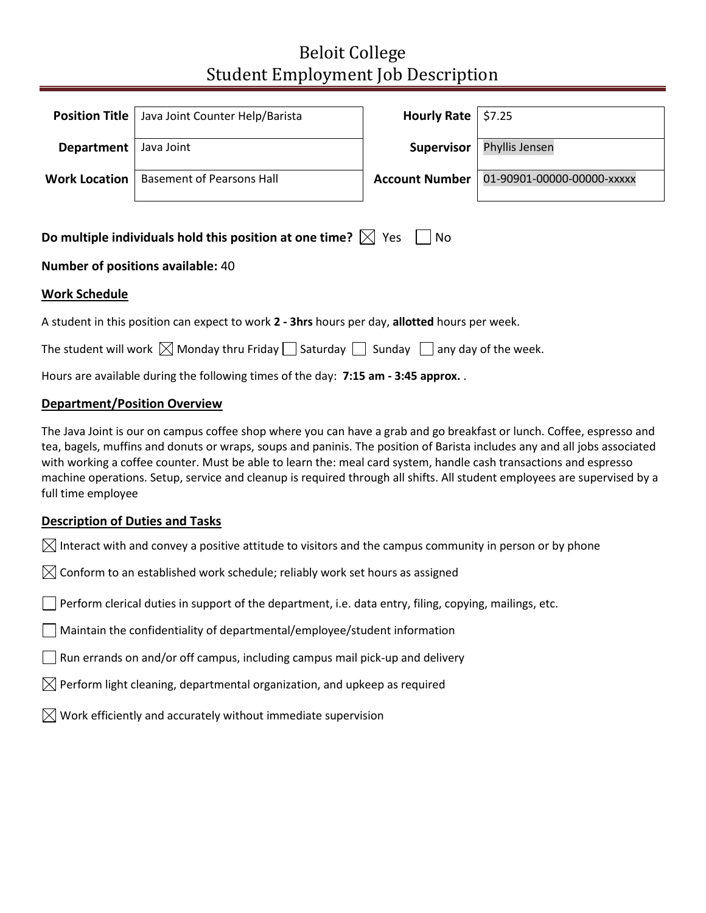# Beloit College Student Employment Job Description

|            | <b>Position Title   Java Joint Counter Help/Barista</b> | Hourly Rate $  $7.25$ |                                                    |
|------------|---------------------------------------------------------|-----------------------|----------------------------------------------------|
| Department | Java Joint                                              | Supervisor            | Phyllis Jensen                                     |
|            | <b>Work Location</b>   Basement of Pearsons Hall        |                       | <b>Account Number   01-90901-00000-00000-xxxxx</b> |
|            |                                                         |                       |                                                    |

| Do multiple individuals hold this position at one time? $\boxtimes$ Yes $\Box$ No |  |  |  |
|-----------------------------------------------------------------------------------|--|--|--|
|-----------------------------------------------------------------------------------|--|--|--|

## **Number of positions available:** 40

### **Work Schedule**

A student in this position can expect to work **2 - 3hrs** hours per day, **allotted** hours per week.

The student will work  $\boxtimes$  Monday thru Friday  $\Box$  Saturday  $\Box$  Sunday  $\Box$  any day of the week.

Hours are available during the following times of the day: **7:15 am - 3:45 approx.** .

### **Department/Position Overview**

The Java Joint is our on campus coffee shop where you can have a grab and go breakfast or lunch. Coffee, espresso and tea, bagels, muffins and donuts or wraps, soups and paninis. The position of Barista includes any and all jobs associated with working a coffee counter. Must be able to learn the: meal card system, handle cash transactions and espresso machine operations. Setup, service and cleanup is required through all shifts. All student employees are supervised by a full time employee

### **Description of Duties and Tasks**

 $\boxtimes$  Interact with and convey a positive attitude to visitors and the campus community in person or by phone

 $\bowtie$  Conform to an established work schedule; reliably work set hours as assigned

Perform clerical duties in support of the department, i.e. data entry, filing, copying, mailings, etc.

Maintain the confidentiality of departmental/employee/student information

 $\Box$  Run errands on and/or off campus, including campus mail pick-up and delivery

 $\boxtimes$  Perform light cleaning, departmental organization, and upkeep as required

 $\boxtimes$  Work efficiently and accurately without immediate supervision